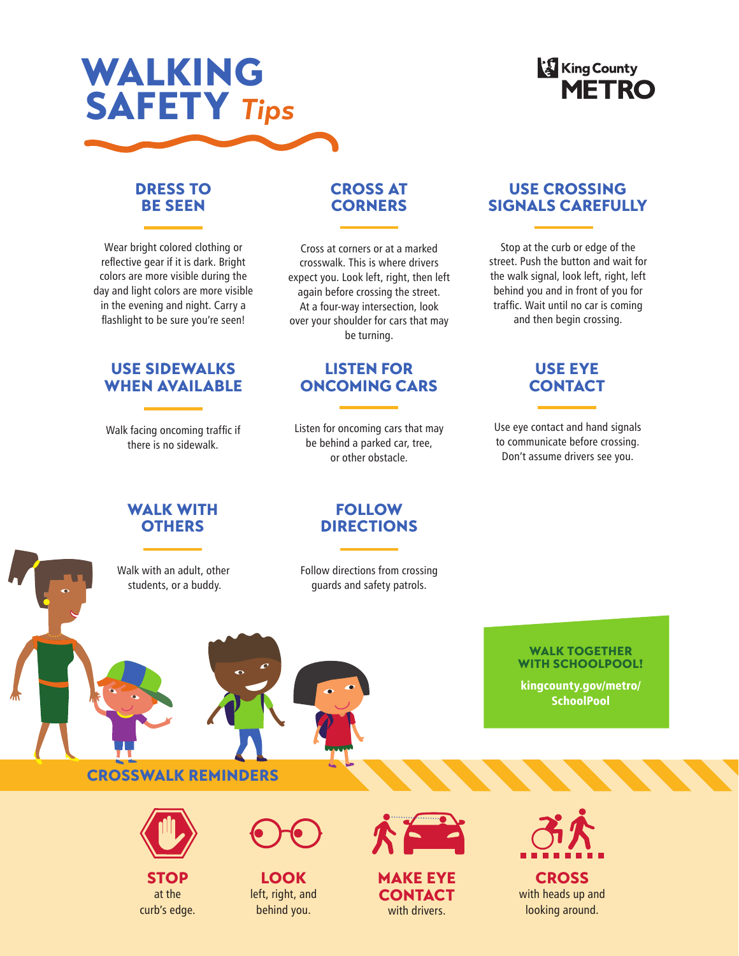

# **King County**<br>**METRO**

# DRESS TO BE SEEN

Wear bright colored clothing or reflective gear if it is dark. Bright colors are more visible during the day and light colors are more visible in the evening and night. Carry a flashlight to be sure you're seen!

# USE SIDEWALKS WHEN AVAILABLE

Walk facing oncoming traffic if there is no sidewalk.

## WALK WITH **OTHERS**

Walk with an adult, other students, or a buddy.

# CROSS AT **CORNERS**

Cross at corners or at a marked crosswalk. This is where drivers expect you. Look left, right, then left again before crossing the street. At a four-way intersection, look over your shoulder for cars that may be turning.

# LISTEN FOR ONCOMING CARS

Listen for oncoming cars that may be behind a parked car, tree, or other obstacle.

# USE CROSSING SIGNALS CAREFULLY

Stop at the curb or edge of the street. Push the button and wait for the walk signal, look left, right, left behind you and in front of you for traffic. Wait until no car is coming and then begin crossing.

# USE EYE **CONTACT**

Use eye contact and hand signals to communicate before crossing. Don't assume drivers see you.

> WALK TOGETHER WITH SCHOOLPOOL! kingcounty.gov/metro/ **SchoolPool**

## FOLLOW DIRECTIONS

Follow directions from crossing guards and safety patrols.

# CROSSWALK REMINDERS



at the curb's edge.



LOOK left, right, and behind you.



STOP LOOK MAKE EYE CROSS **CONTACT** with drivers.



with heads up and looking around.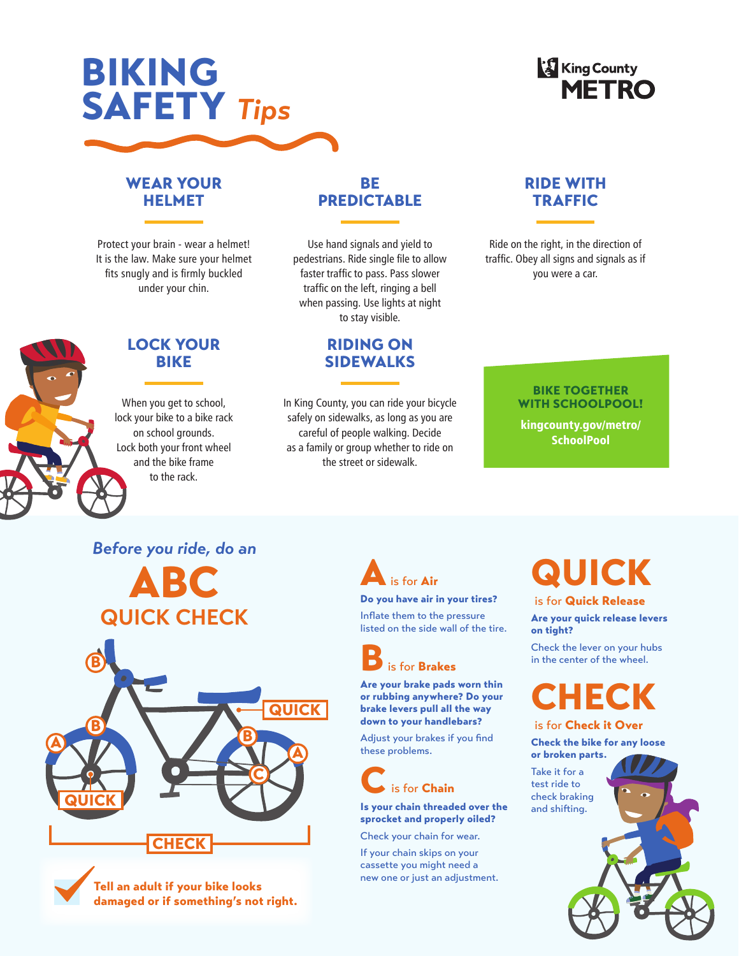# BIKING SAFETY *Tips*

# **King County**<br>**METRO**

# WEAR YOUR HELMET

Protect your brain - wear a helmet! It is the law. Make sure your helmet fits snugly and is firmly buckled under your chin.

# LOCK YOUR BIKE

When you get to school, lock your bike to a bike rack on school grounds. Lock both your front wheel and the bike frame to the rack.

# BE **PREDICTABLE**

Use hand signals and yield to pedestrians. Ride single file to allow faster traffic to pass. Pass slower traffic on the left, ringing a bell when passing. Use lights at night to stay visible.

# RIDING ON SIDEWALKS

In King County, you can ride your bicycle safely on sidewalks, as long as you are careful of people walking. Decide as a family or group whether to ride on the street or sidewalk.

# RIDE WITH **TRAFFIC**

Ride on the right, in the direction of traffic. Obey all signs and signals as if you were a car.

### BIKE TOGETHER WITH SCHOOLPOOL!

kingcounty.gov/metro/ **SchoolPool** 

# *Before you ride, do an*

ABC **QUICK CHECK**







### Do you have air in your tires?

Inflate them to the pressure listed on the side wall of the tire.



Are your brake pads worn thin or rubbing anywhere? Do your brake levers pull all the way down to your handlebars?

Adjust your brakes if you find these problems.



### Is your chain threaded over the sprocket and properly oiled?

Check your chain for wear.

If your chain skips on your cassette you might need a new one or just an adjustment.

# QUICK

### is for Quick Release

Are your quick release levers on tight?

Check the lever on your hubs in the center of the wheel.

# CHECK is for Check it Over

# Check the bike for any loose

or broken parts.

Take it for a test ride to check braking and shifting.

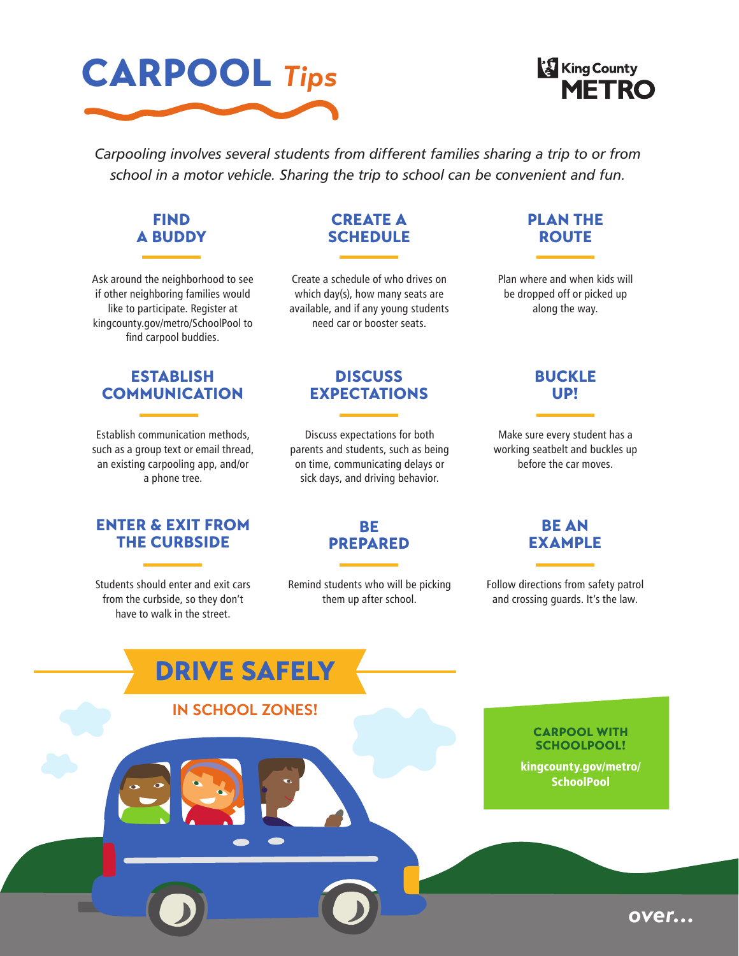



*Carpooling involves several students from different families sharing a trip to or from school in a motor vehicle. Sharing the trip to school can be convenient and fun.*



Ask around the neighborhood to see if other neighboring families would like to participate. Register at kingcounty.gov/metro/SchoolPool to find carpool buddies.

# CREATE A **SCHEDULE**

Create a schedule of who drives on which day(s), how many seats are available, and if any young students need car or booster seats.

# PLAN THE ROUTE

Plan where and when kids will be dropped off or picked up along the way.

# ESTABLISH COMMUNICATION

Establish communication methods, such as a group text or email thread, an existing carpooling app, and/or a phone tree.

# ENTER & EXIT FROM THE CURBSIDE

Students should enter and exit cars from the curbside, so they don't have to walk in the street.

# **DISCUSS** EXPECTATIONS

Discuss expectations for both parents and students, such as being on time, communicating delays or sick days, and driving behavior.

> BE PREPARED

Remind students who will be picking them up after school.

# BUCKLE UP!

Make sure every student has a working seatbelt and buckles up before the car moves.

# BE AN EXAMPLE

Follow directions from safety patrol and crossing guards. It's the law.



*over…*